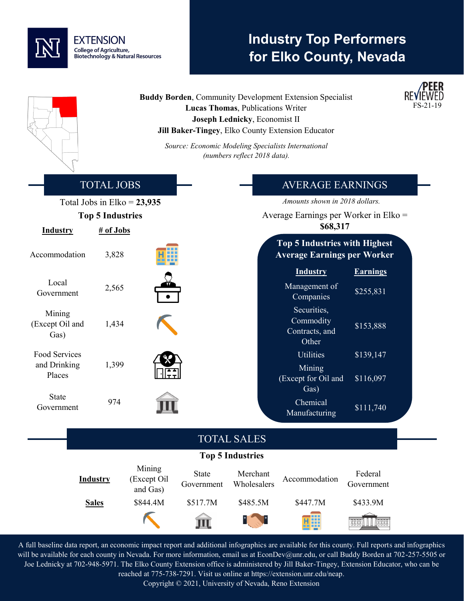

## **Industry Top Performers for Elko County, Nevada**

**Buddy Borden**, Community Development Extension Specialist **Lucas Thomas**, Publications Writer **Joseph Lednicky**, Economist II **Jill Baker-Tingey**, Elko County Extension Educator



*Source: Economic Modeling Specialists International (numbers reflect 2018 data).*

|                                   | <b>TOTAL JOBS</b>                    |                                   |                            |                         | <b>AVERAGE EARNINGS</b>                                                    |                              |  |
|-----------------------------------|--------------------------------------|-----------------------------------|----------------------------|-------------------------|----------------------------------------------------------------------------|------------------------------|--|
|                                   | Total Jobs in Elko = $23,935$        |                                   |                            |                         | Amounts shown in 2018 dollars.                                             |                              |  |
| <b>Industry</b>                   | <b>Top 5 Industries</b><br># of Jobs |                                   |                            |                         | Average Earnings per Worker in Elko $=$<br>\$68,317                        |                              |  |
| Accommodation                     | 3,828                                |                                   |                            |                         | <b>Top 5 Industries with Highest</b><br><b>Average Earnings per Worker</b> |                              |  |
| Local<br>Government               | 2,565                                |                                   |                            |                         | <b>Industry</b><br>Management of<br>Companies                              | <b>Earnings</b><br>\$255,831 |  |
| Mining<br>(Except Oil and<br>Gas) | 1,434                                |                                   |                            |                         | Securities,<br>Commodity<br>Contracts, and<br>Other                        | \$153,888                    |  |
| Food Services                     |                                      |                                   |                            |                         | <b>Utilities</b>                                                           | \$139,147                    |  |
| and Drinking<br>Places            | 1,399                                |                                   |                            |                         | Mining<br>(Except for Oil and<br>Gas)                                      | \$116,097                    |  |
| <b>State</b><br>Government        | 974                                  |                                   |                            |                         | Chemical<br>Manufacturing                                                  | \$111,740                    |  |
|                                   |                                      |                                   |                            | <b>TOTAL SALES</b>      |                                                                            |                              |  |
|                                   |                                      |                                   |                            | <b>Top 5 Industries</b> |                                                                            |                              |  |
|                                   | <b>Industry</b>                      | Mining<br>(Except Oil<br>and Gas) | <b>State</b><br>Government | Merchant<br>Wholesalers | Accommodation                                                              | Federal<br>Government        |  |
|                                   | <b>Sales</b>                         | \$844.4M                          | \$517.7M                   | \$485.5M                | \$447.7M                                                                   | \$433.9M                     |  |
|                                   |                                      |                                   |                            |                         |                                                                            | Toool<br>Teena<br>Teena      |  |

A full baseline data report, an economic impact report and additional infographics are available for this county. Full reports and infographics will be available for each county in Nevada. For more information, email us at EconDev@unr.edu, or call Buddy Borden at 702-257-5505 or Joe Lednicky at 702-948-5971. The Elko County Extension office is administered by Jill Baker-Tingey, Extension Educator, who can be reached at 775-738-7291. Visit us online at https://extension.unr.edu/neap.

Copyright © 2021, University of Nevada, Reno Extension